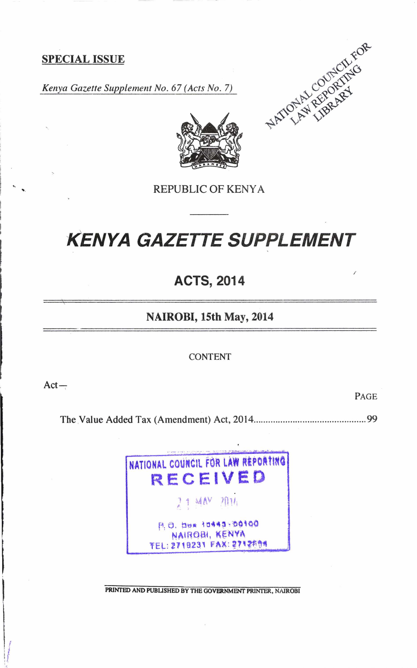**SPECIAL ISSUE** 

Kenya Gazette Supplement No. 67 (Acts No. 7)





REPUBLIC OF KENYA

# **KENYA GAZETTE SUPPLEMENT**

# **ACTS, 2014**

## NAIROBI, 15th May, 2014

#### **CONTENT**

 $Act-$ 

PAGE



PRINTED AND PUBLISHED BY THE GOVERNMENT PRINTER, NAIROBI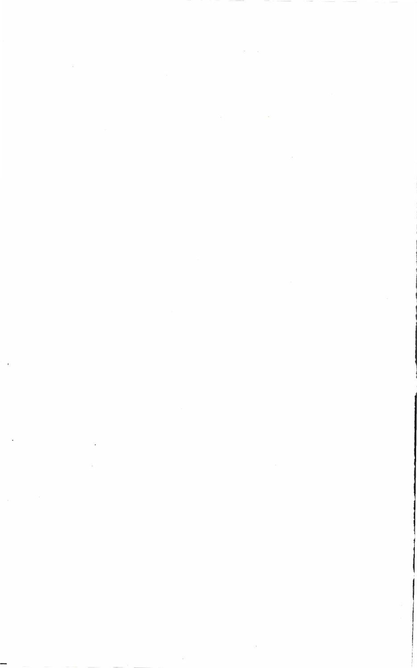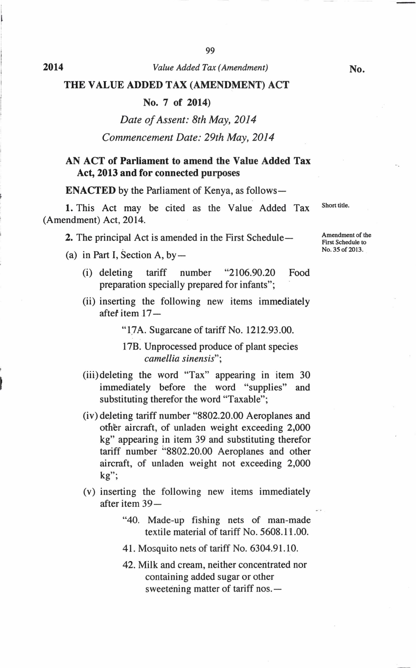2014 Value Added Tax (Amendment)

#### THE VALUE ADDED TAX (AMENDMENT) ACT

#### No. 7 of 2014)

### Date of Assent: 8th May, 2014

Commencement Date: 29th May, 2014

#### AN ACT of Parliament to amend the Yalue Added Tax Act, 2013 and for connected purposes

**ENACTED** by the Parliament of Kenya, as follows-

l. This Act may be cited as the Value Added Tax (Amendment) Act, 2014.

2. The principal Act is amended in the First Schedule-

- (a) in Part I, Section A, by  $-$ 
	- (i) deleting tariff number \*2106.90.20 Food preparation specially prepared for infants";
	- (ii) inserting the following new items immediately after item 17-

"17A. Sugarcane of tariff No. 1212.93.00.

17B. Unprocessed produce of plant species camellia sinensis";

- (iii)deleting the word "Tax" appearing in item <sup>30</sup> immediately before the word "supplies" and substituting therefor the word "Taxable";
- (iv) deleting tariff number "8802.20.00 Aeroplanes and other aircraft, of unladen weight exceeding 2,000 kg" appearing in item 39 and substituting therefor tariff number "8802.20.00 Aeroplanes and other aircraft, of unladen weight not exceeding 2,000 kg";
- (v) inserting the following new items immediately after item 39-
	- \*40. Made-up fishing nets of man-made textile material of tariff No.5608.11.00.

41. Mosquito nets of tariff No. 6304.91.10.

42. Milk and cream, neither concentrated nor containing added sugar or other sweetening matter of tariff nos.—

Amendment of the First Schedule to No. 35 of 2013.

Short title.

No.